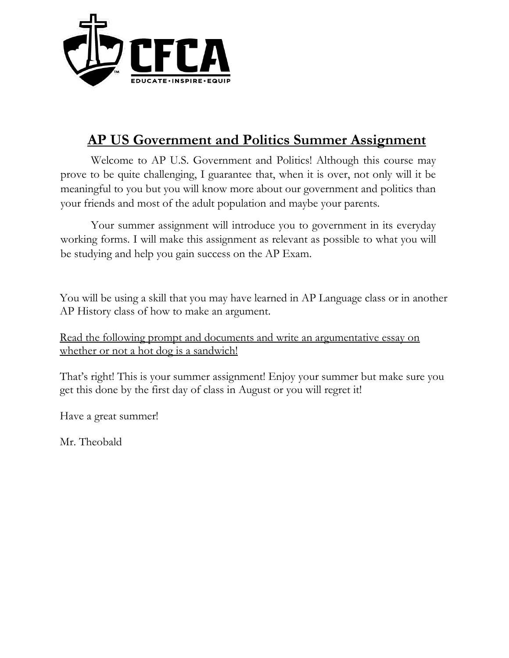

# **AP US Government and Politics Summer Assignment**

Welcome to AP U.S. Government and Politics! Although this course may prove to be quite challenging, I guarantee that, when it is over, not only will it be meaningful to you but you will know more about our government and politics than your friends and most of the adult population and maybe your parents.

Your summer assignment will introduce you to government in its everyday working forms. I will make this assignment as relevant as possible to what you will be studying and help you gain success on the AP Exam.

You will be using a skill that you may have learned in AP Language class or in another AP History class of how to make an argument.

Read the following prompt and documents and write an argumentative essay on whether or not a hot dog is a sandwich!

That's right! This is your summer assignment! Enjoy your summer but make sure you get this done by the first day of class in August or you will regret it!

Have a great summer!

Mr. Theobald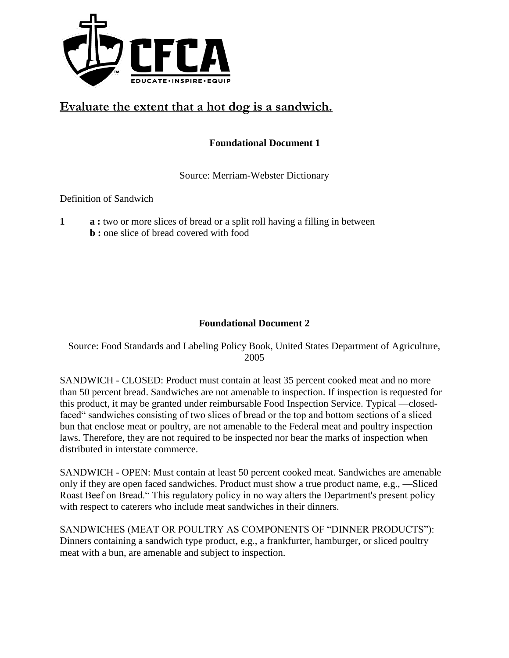

## **Evaluate the extent that a hot dog is a sandwich.**

#### **Foundational Document 1**

Source: Merriam-Webster Dictionary

Definition of Sandwich

**1 a :** two or more slices of bread or a split roll having a filling in between **b** : one slice of bread covered with food

#### **Foundational Document 2**

Source: Food Standards and Labeling Policy Book, United States Department of Agriculture, 2005

SANDWICH - CLOSED: Product must contain at least 35 percent cooked meat and no more than 50 percent bread. Sandwiches are not amenable to inspection. If inspection is requested for this product, it may be granted under reimbursable Food Inspection Service. Typical —closedfaced" sandwiches consisting of two slices of bread or the top and bottom sections of a sliced bun that enclose meat or poultry, are not amenable to the Federal meat and poultry inspection laws. Therefore, they are not required to be inspected nor bear the marks of inspection when distributed in interstate commerce.

SANDWICH - OPEN: Must contain at least 50 percent cooked meat. Sandwiches are amenable only if they are open faced sandwiches. Product must show a true product name, e.g., —Sliced Roast Beef on Bread." This regulatory policy in no way alters the Department's present policy with respect to caterers who include meat sandwiches in their dinners.

SANDWICHES (MEAT OR POULTRY AS COMPONENTS OF "DINNER PRODUCTS"): Dinners containing a sandwich type product, e.g., a frankfurter, hamburger, or sliced poultry meat with a bun, are amenable and subject to inspection.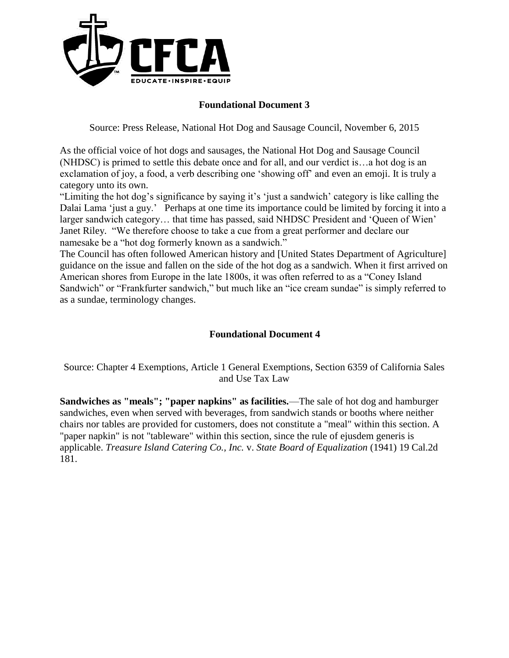

#### **Foundational Document 3**

Source: Press Release, National Hot Dog and Sausage Council, November 6, 2015

As the official voice of hot dogs and sausages, the National Hot Dog and Sausage Council (NHDSC) is primed to settle this debate once and for all, and our verdict is…a hot dog is an exclamation of joy, a food, a verb describing one 'showing off' and even an emoji. It is truly a category unto its own.

"Limiting the hot dog's significance by saying it's 'just a sandwich' category is like calling the Dalai Lama 'just a guy.' Perhaps at one time its importance could be limited by forcing it into a larger sandwich category… that time has passed, said NHDSC President and 'Queen of Wien' Janet Riley. "We therefore choose to take a cue from a great performer and declare our namesake be a "hot dog formerly known as a sandwich."

The Council has often followed American history and [United States Department of Agriculture] guidance on the issue and fallen on the side of the hot dog as a sandwich. When it first arrived on American shores from Europe in the late 1800s, it was often referred to as a "Coney Island Sandwich" or "Frankfurter sandwich," but much like an "ice cream sundae" is simply referred to as a sundae, terminology changes.

#### **Foundational Document 4**

Source: Chapter 4 Exemptions, Article 1 General Exemptions, Section 6359 of California Sales and Use Tax Law

**Sandwiches as "meals"; "paper napkins" as facilities.**—The sale of hot dog and hamburger sandwiches, even when served with beverages, from sandwich stands or booths where neither chairs nor tables are provided for customers, does not constitute a "meal" within this section. A "paper napkin" is not "tableware" within this section, since the rule of ejusdem generis is applicable. *Treasure Island Catering Co., Inc.* v. *State Board of Equalization* (1941) 19 Cal.2d 181.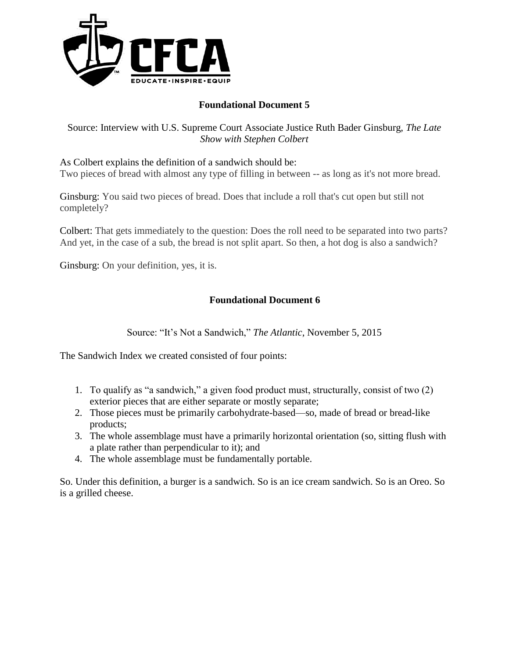

### **Foundational Document 5**

Source: Interview with U.S. Supreme Court Associate Justice Ruth Bader Ginsburg, *The Late Show with Stephen Colbert*

As Colbert explains the definition of a sandwich should be: Two pieces of bread with almost any type of filling in between -- as long as it's not more bread.

Ginsburg: You said two pieces of bread. Does that include a roll that's cut open but still not completely?

Colbert: That gets immediately to the question: Does the roll need to be separated into two parts? And yet, in the case of a sub, the bread is not split apart. So then, a hot dog is also a sandwich?

Ginsburg: On your definition, yes, it is.

#### **Foundational Document 6**

Source: "It's Not a Sandwich," *The Atlantic*, November 5, 2015

The Sandwich Index we created consisted of four points:

- 1. To qualify as "a sandwich," a given food product must, structurally, consist of two (2) exterior pieces that are either separate or mostly separate;
- 2. Those pieces must be primarily carbohydrate-based—so, made of bread or bread-like products;
- 3. The whole assemblage must have a primarily horizontal orientation (so, sitting flush with a plate rather than perpendicular to it); and
- 4. The whole assemblage must be fundamentally portable.

So. Under this definition, a burger is a sandwich. So is an ice cream sandwich. So is an Oreo. So is a grilled cheese.